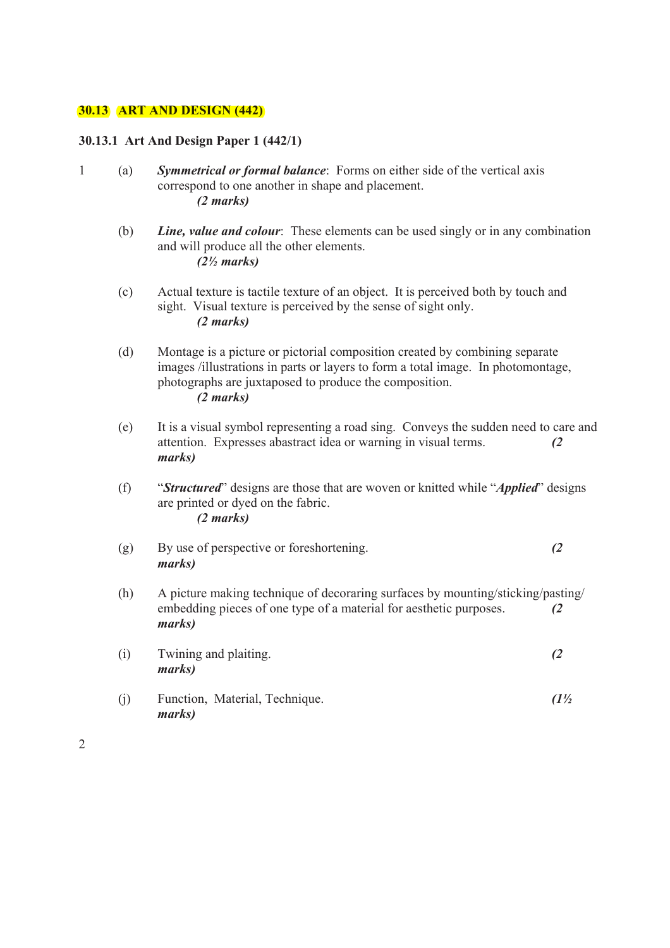#### **30.13 ART AND DESIGN (442)**

#### **30.13.1 Art And Design Paper 1 (442/1)**

- 1 (a) *Symmetrical or formal balance*: Forms on either side of the vertical axis correspond to one another in shape and placement. *(2 marks)*
	- (b) *Line, value and colour*: These elements can be used singly or in any combination and will produce all the other elements. *(2½ marks)*
	- (c) Actual texture is tactile texture of an object. It is perceived both by touch and sight. Visual texture is perceived by the sense of sight only. *(2 marks)*
	- (d) Montage is a picture or pictorial composition created by combining separate images /illustrations in parts or layers to form a total image. In photomontage, photographs are juxtaposed to produce the composition. *(2 marks)*
	- (e) It is a visual symbol representing a road sing. Conveys the sudden need to care and attention. Expresses abastract idea or warning in visual terms. *(2 marks)*
	- (f) "*Structured*" designs are those that are woven or knitted while "*Applied*" designs are printed or dyed on the fabric. *(2 marks)*
	- (g) By use of perspective or foreshortening. *(2 marks)*
	- (h) A picture making technique of decoraring surfaces by mounting/sticking/pasting/ embedding pieces of one type of a material for aesthetic purposes. *(2 marks)*
	- (i) Twining and plaiting. *(2 marks)*
	- (j) Function, Material, Technique. *(1½ marks)*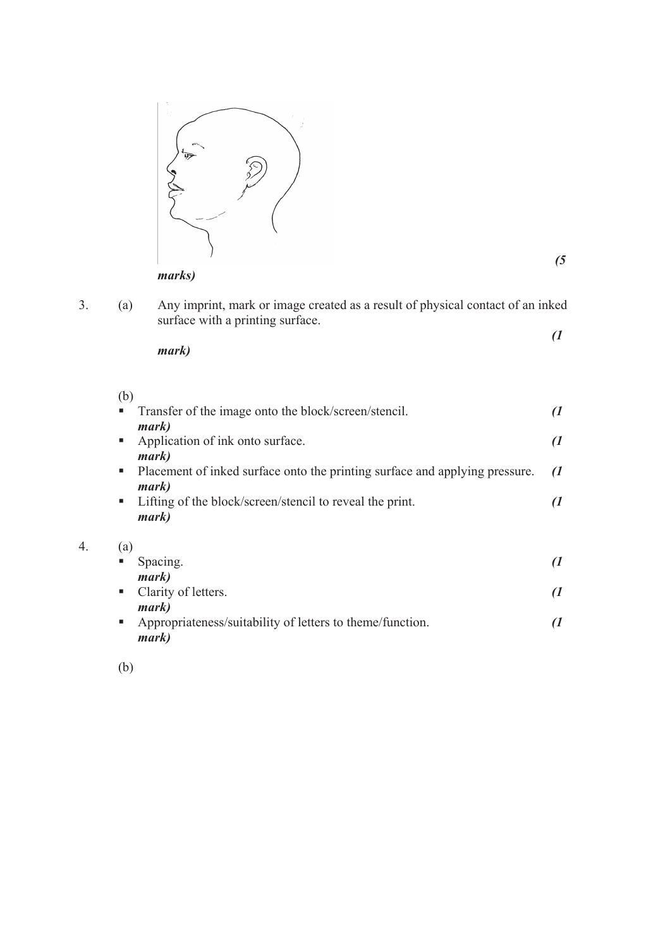

*(5* 

 $\overline{4}$ .

3. (a) Any imprint, mark or image created as a result of physical contact of an inked surface with a printing surface.

$$
(1)
$$

 $(h)$ 

*marks)*

| 1 U J             |                                                                             |               |
|-------------------|-----------------------------------------------------------------------------|---------------|
| a.                | Transfer of the image onto the block/screen/stencil.                        |               |
|                   | mark)                                                                       |               |
| ш                 | Application of ink onto surface.                                            | $\mathcal{I}$ |
|                   | mark)                                                                       |               |
| a.                | Placement of inked surface onto the printing surface and applying pressure. | $\mathcal{I}$ |
|                   | mark)                                                                       |               |
| <b>CONTRACTOR</b> | Lifting of the block/screen/stencil to reveal the print.                    |               |
|                   | mark)                                                                       |               |
| (a)               |                                                                             |               |
|                   | Spacing.                                                                    |               |
|                   | mark)                                                                       |               |
| п.                | Clarity of letters.                                                         |               |
|                   | <i>mark</i> )                                                               |               |
| ш                 | Appropriateness/suitability of letters to theme/function.                   |               |

(b)

*mark)*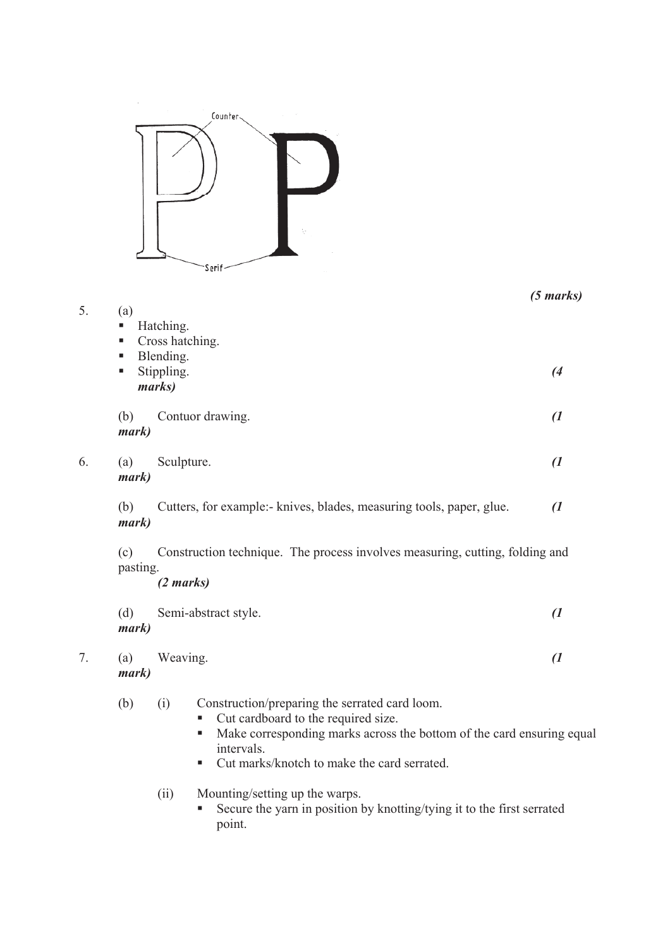

|    |                         |                                                                                                                                                                                                                                         | $(5 \text{ marks})$ |  |
|----|-------------------------|-----------------------------------------------------------------------------------------------------------------------------------------------------------------------------------------------------------------------------------------|---------------------|--|
| 5. | (a)<br>п<br>п<br>п<br>п | Hatching.<br>Cross hatching.<br>Blending.<br>Stippling.<br>marks)                                                                                                                                                                       | (4)                 |  |
|    | (b)<br>mark)            | Contuor drawing.                                                                                                                                                                                                                        | $\overline{a}$      |  |
| 6. | (a)<br>mark)            | Sculpture.                                                                                                                                                                                                                              | $\overline{a}$      |  |
|    | (b)<br>mark)            | Cutters, for example: knives, blades, measuring tools, paper, glue.                                                                                                                                                                     | $\mathcal{I}$       |  |
|    | (c)<br>pasting.         | Construction technique. The process involves measuring, cutting, folding and<br>(2 marks)                                                                                                                                               |                     |  |
|    | (d)<br>mark)            | Semi-abstract style.                                                                                                                                                                                                                    | $\overline{a}$      |  |
| 7. | (a)<br>mark)            | Weaving.                                                                                                                                                                                                                                | $\overline{a}$      |  |
|    | (b)                     | Construction/preparing the serrated card loom.<br>(i)<br>Cut cardboard to the required size.<br>Make corresponding marks across the bottom of the card ensuring equal<br>intervals.<br>Cut marks/knotch to make the card serrated.<br>п |                     |  |
|    |                         | Mounting/setting up the warps.<br>(ii)<br>Secure the yarn in position by knotting/tying it to the first serrated<br>point.                                                                                                              |                     |  |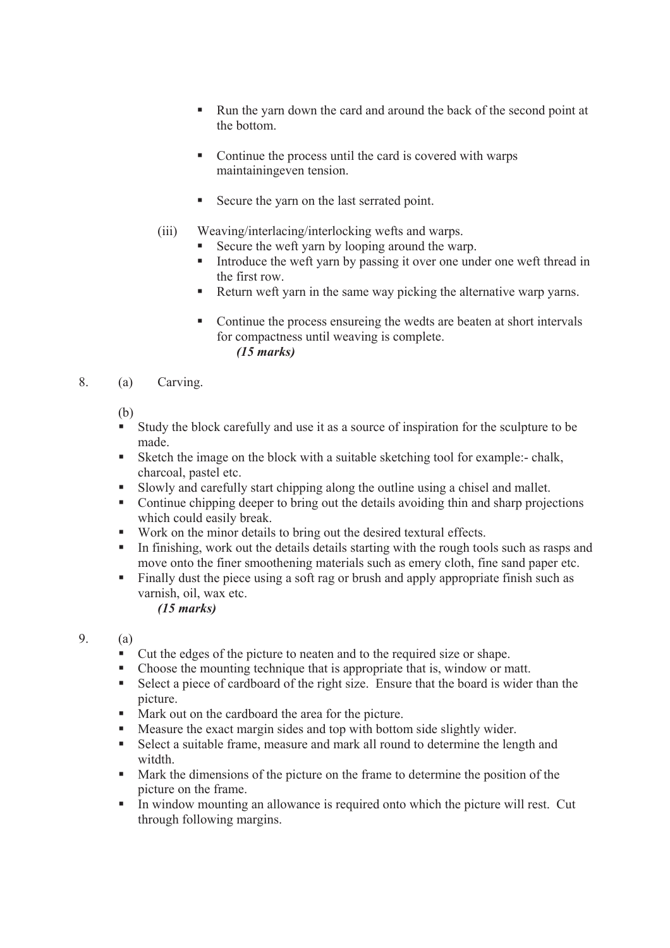- Run the yarn down the card and around the back of the second point at the bottom.
- Continue the process until the card is covered with warps maintainingeven tension.
- Secure the yarn on the last serrated point.
- (iii) Weaving/interlacing/interlocking wefts and warps.
	- Secure the weft yarn by looping around the warp.
	- Introduce the weft yarn by passing it over one under one weft thread in the first row.
	- Return weft yarn in the same way picking the alternative warp yarns.
	- Continue the process ensureing the wedts are beaten at short intervals for compactness until weaving is complete. *(15 marks)*
- 8. (a) Carving.

(b)

- Study the block carefully and use it as a source of inspiration for the sculpture to be made.
- Sketch the image on the block with a suitable sketching tool for example:- chalk, charcoal, pastel etc.
- Slowly and carefully start chipping along the outline using a chisel and mallet.
- Continue chipping deeper to bring out the details avoiding thin and sharp projections which could easily break.
- Work on the minor details to bring out the desired textural effects.
- In finishing, work out the details details starting with the rough tools such as rasps and move onto the finer smoothening materials such as emery cloth, fine sand paper etc.
- Finally dust the piece using a soft rag or brush and apply appropriate finish such as varnish, oil, wax etc.

*(15 marks)*

- 9. (a)
	- Cut the edges of the picture to neaten and to the required size or shape.
	- Choose the mounting technique that is appropriate that is, window or matt.
	- Select a piece of cardboard of the right size. Ensure that the board is wider than the picture.
	- Mark out on the cardboard the area for the picture.
	- Measure the exact margin sides and top with bottom side slightly wider.
	- Select a suitable frame, measure and mark all round to determine the length and witdth
	- Mark the dimensions of the picture on the frame to determine the position of the picture on the frame.
	- In window mounting an allowance is required onto which the picture will rest. Cut through following margins.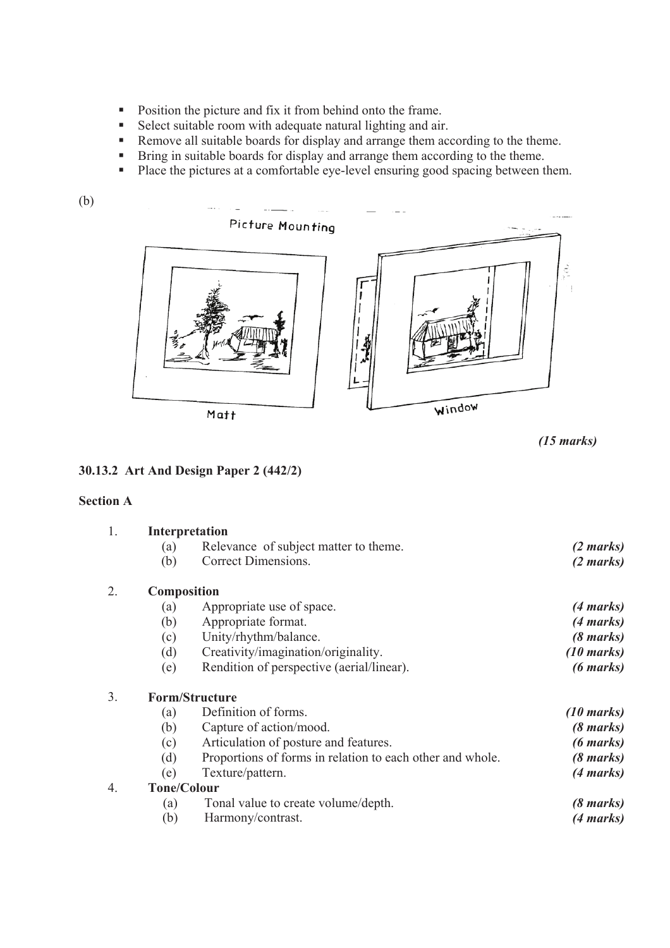- **Position the picture and fix it from behind onto the frame.**
- Select suitable room with adequate natural lighting and air.
- Remove all suitable boards for display and arrange them according to the theme.
- Bring in suitable boards for display and arrange them according to the theme.<br>■ Place the nictures at a comfortable eve-level ensuring good spacing between the
- Place the pictures at a comfortable eye-level ensuring good spacing between them.



```
(15 marks)
```
## **30.13.2 Art And Design Paper 2 (442/2)**

## **Section A**

| 1. | Interpretation        |                                                           |                      |  |
|----|-----------------------|-----------------------------------------------------------|----------------------|--|
|    | (a)                   | Relevance of subject matter to theme.                     | (2 marks)            |  |
|    | (b)                   | Correct Dimensions.                                       | (2 marks)            |  |
| 2. | <b>Composition</b>    |                                                           |                      |  |
|    | (a)                   | Appropriate use of space.                                 | (4 marks)            |  |
|    | (b)                   | Appropriate format.                                       | (4 marks)            |  |
|    | (c)                   | Unity/rhythm/balance.                                     | (8 marks)            |  |
|    | (d)                   | Creativity/imagination/originality.                       | $(10 \text{ marks})$ |  |
|    | (e)                   | Rendition of perspective (aerial/linear).                 | $(6 \text{ marks})$  |  |
| 3. | <b>Form/Structure</b> |                                                           |                      |  |
|    | (a)                   | Definition of forms.                                      | $(10 \text{ marks})$ |  |
|    | (b)                   | Capture of action/mood.                                   | (8 marks)            |  |
|    | (c)                   | Articulation of posture and features.                     | (6 marks)            |  |
|    | (d)                   | Proportions of forms in relation to each other and whole. | (8 marks)            |  |
|    | (e)                   | Texture/pattern.                                          | (4 marks)            |  |
| 4. | <b>Tone/Colour</b>    |                                                           |                      |  |
|    | (a)                   | Tonal value to create volume/depth.                       | (8 marks)            |  |
|    | (b)                   | Harmony/contrast.                                         | (4 marks)            |  |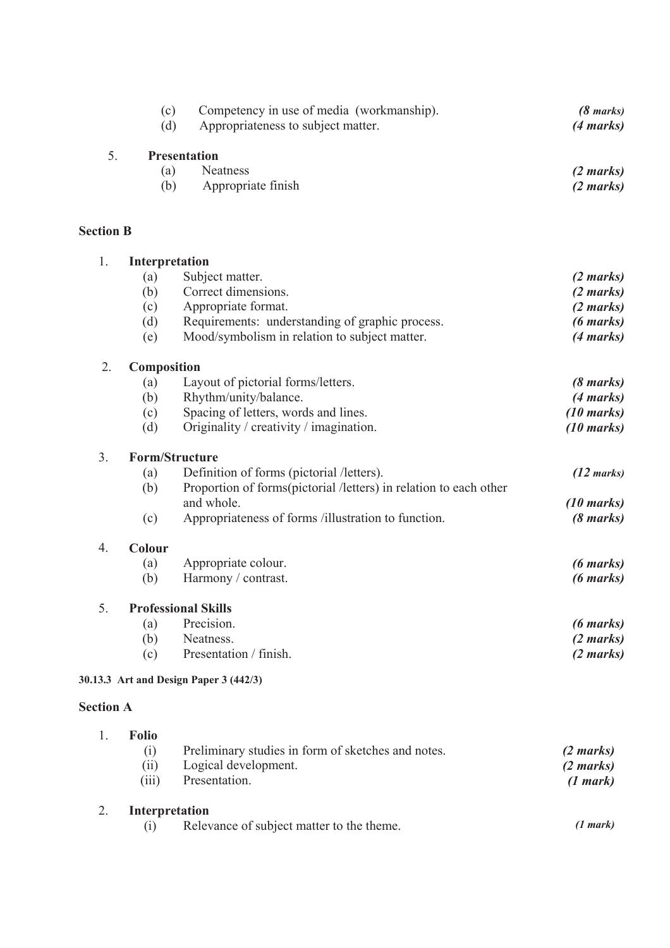|                  | (c)<br>(d)            | Competency in use of media (workmanship).<br>Appropriateness to subject matter.  | $(8 \text{ marks})$<br>$(4 \text{ marks})$ |  |  |
|------------------|-----------------------|----------------------------------------------------------------------------------|--------------------------------------------|--|--|
| 5.               |                       | <b>Presentation</b>                                                              |                                            |  |  |
|                  | (a)<br>(b)            | <b>Neatness</b><br>Appropriate finish                                            | (2 marks)<br>$(2 \text{ marks})$           |  |  |
| <b>Section B</b> |                       |                                                                                  |                                            |  |  |
| 1.               |                       | Interpretation                                                                   |                                            |  |  |
|                  | (a)                   | Subject matter.                                                                  | (2 marks)                                  |  |  |
|                  | (b)                   | Correct dimensions.                                                              | $(2 \text{ marks})$                        |  |  |
|                  | (c)                   | Appropriate format.                                                              | $(2 \text{ marks})$                        |  |  |
|                  | (d)                   | Requirements: understanding of graphic process.                                  | $(6 \text{ marks})$                        |  |  |
|                  | (e)                   | Mood/symbolism in relation to subject matter.                                    | (4 marks)                                  |  |  |
| 2.               | <b>Composition</b>    |                                                                                  |                                            |  |  |
|                  | (a)                   | Layout of pictorial forms/letters.                                               | $(8 \text{ marks})$                        |  |  |
|                  | (b)                   | Rhythm/unity/balance.                                                            | $(4 \text{ marks})$                        |  |  |
|                  | (c)                   | Spacing of letters, words and lines.                                             | $(10 \text{ marks})$                       |  |  |
|                  | (d)                   | Originality / creativity / imagination.                                          | $(10 \text{ marks})$                       |  |  |
| 3.               | <b>Form/Structure</b> |                                                                                  |                                            |  |  |
|                  | (a)                   | Definition of forms (pictorial /letters).                                        | $(12 \text{ marks})$                       |  |  |
|                  | (b)                   | Proportion of forms (pictorial /letters) in relation to each other<br>and whole. | $(10 \text{ marks})$                       |  |  |
|                  | (c)                   | Appropriateness of forms /illustration to function.                              | $(8 \text{ marks})$                        |  |  |
| $\overline{4}$ . | Colour                |                                                                                  |                                            |  |  |
|                  | (a)                   | Appropriate colour.                                                              | $(6 \text{ marks})$                        |  |  |
|                  | (b)                   | Harmony / contrast.                                                              | $(6 \text{ marks})$                        |  |  |
| 5.               |                       | <b>Professional Skills</b>                                                       |                                            |  |  |
|                  | (a)                   | Precision.                                                                       | $(6 \text{ marks})$                        |  |  |
|                  | (b)                   | Neatness.                                                                        | (2 marks)                                  |  |  |
|                  | (c)                   | Presentation / finish.                                                           | $(2 \text{ marks})$                        |  |  |
|                  |                       | 30.13.3 Art and Design Paper 3 (442/3)                                           |                                            |  |  |
| <b>Section A</b> |                       |                                                                                  |                                            |  |  |
| 1.               | <b>Folio</b>          |                                                                                  |                                            |  |  |

| . . | . .,,<br>(1)<br>(11)<br>(iii) | Preliminary studies in form of sketches and notes.<br>Logical development.<br>Presentation. | $(2 \text{ marks})$<br>$(2 \text{ marks})$<br>(1 mark) |
|-----|-------------------------------|---------------------------------------------------------------------------------------------|--------------------------------------------------------|
|     | <b>Interpretation</b><br>(1)  | Relevance of subject matter to the theme.                                                   | (1 mark)                                               |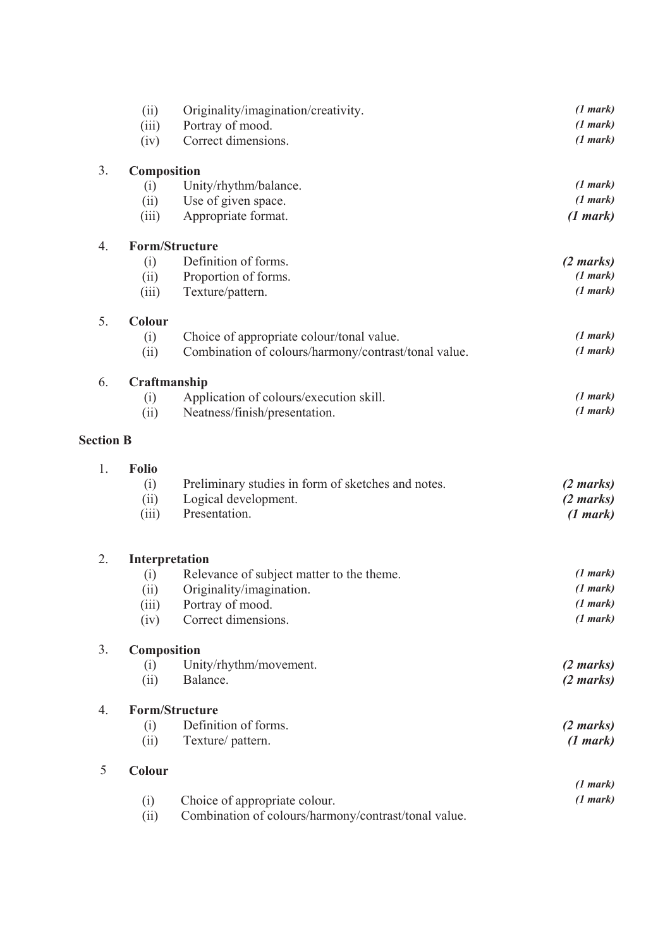|                  | (ii)                  | Originality/imagination/creativity.                  | (1 mark)            |
|------------------|-----------------------|------------------------------------------------------|---------------------|
|                  | (iii)                 | Portray of mood.                                     | (1 mark)            |
|                  | (iv)                  | Correct dimensions.                                  | (1 mark)            |
| 3.               | Composition           |                                                      |                     |
|                  | (i)                   | Unity/rhythm/balance.                                | (1 mark)            |
|                  | (ii)                  | Use of given space.                                  | (1 mark)            |
|                  | (iii)                 | Appropriate format.                                  | (1 mark)            |
| 4.               | <b>Form/Structure</b> |                                                      |                     |
|                  | (i)                   | Definition of forms.                                 | $(2 \text{ marks})$ |
|                  | (ii)                  | Proportion of forms.                                 | (1 mark)            |
|                  | (iii)                 | Texture/pattern.                                     | (1 mark)            |
| 5.               | Colour                |                                                      |                     |
|                  | (i)                   | Choice of appropriate colour/tonal value.            | (1 mark)            |
|                  | (ii)                  | Combination of colours/harmony/contrast/tonal value. | (1 mark)            |
| 6.               | Craftmanship          |                                                      |                     |
|                  | (i)                   | Application of colours/execution skill.              | (1 mark)            |
|                  | (ii)                  | Neatness/finish/presentation.                        | (1 mark)            |
| <b>Section B</b> |                       |                                                      |                     |
| 1.               | <b>Folio</b>          |                                                      |                     |
|                  | (i)                   | Preliminary studies in form of sketches and notes.   | $(2 \text{ marks})$ |
|                  | (ii)                  | Logical development.                                 | (2 marks)           |
|                  | (iii)                 | Presentation.                                        | (1 mark)            |
|                  |                       |                                                      |                     |
| 2.               | Interpretation        |                                                      |                     |
|                  | (i)                   | Relevance of subject matter to the theme.            | (1 mark)            |
|                  | (ii)                  | Originality/imagination.                             | (1 mark)            |
|                  | (iii)                 | Portray of mood.                                     | (1 mark)            |
|                  | (iv)                  | Correct dimensions.                                  | (1 mark)            |
| 3.               | Composition           |                                                      |                     |
|                  | (i)                   | Unity/rhythm/movement.                               | (2 marks)           |
|                  | (ii)                  | Balance.                                             | $(2 \text{ marks})$ |
| 4.               | <b>Form/Structure</b> |                                                      |                     |
|                  | (i)                   | Definition of forms.                                 | (2 marks)           |
|                  | (ii)                  | Texture/pattern.                                     | (1 mark)            |
| 5                | Colour                |                                                      |                     |
|                  |                       |                                                      | (1 mark)            |
|                  | (i)                   | Choice of appropriate colour.                        | (1 mark)            |
|                  | (ii)                  | Combination of colours/harmony/contrast/tonal value. |                     |